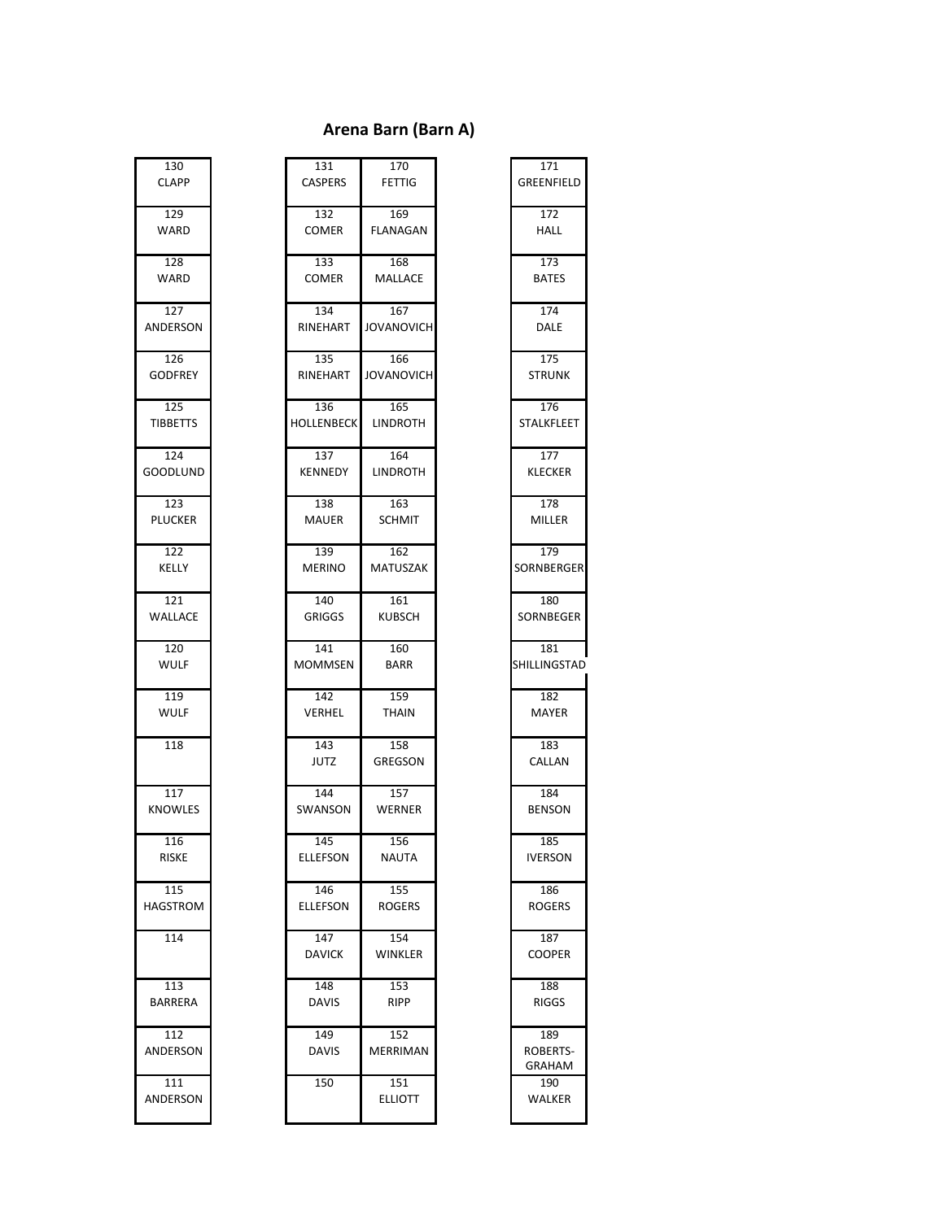#### **Arena Barn (Barn A)**

| 130              |
|------------------|
|                  |
| <b>CLAPP</b>     |
|                  |
| 129              |
| NARD             |
|                  |
| $\overline{128}$ |
|                  |
| <b>NARD</b>      |
|                  |
| 127              |
| ANDERSON         |
|                  |
|                  |
| 126              |
| <b>GODFREY</b>   |
|                  |
| 125              |
| <b>TIBBETTS</b>  |
|                  |
|                  |
| 124              |
| GOODLUND         |
|                  |
| 123              |
|                  |
| <b>PLUCKER</b>   |
|                  |
| 122              |
| KELLY            |
|                  |
|                  |
| 121              |
| /ALLACE          |
|                  |
| 120              |
| NULF             |
|                  |
|                  |
| 119              |
| <b>NULF</b>      |
|                  |
| 118              |
|                  |
|                  |
|                  |
| 117              |
| KNOWLES          |
|                  |
| 116              |
| RISKE            |
|                  |
|                  |
| 115              |
| HAGSTROM         |
|                  |
| 114              |
|                  |
|                  |
|                  |
| 113              |
| <b>BARRERA</b>   |
|                  |
| 112              |
|                  |
| ANDERSON         |
|                  |
| 111              |
|                  |
| ANDERSON         |
|                  |

| 130<br><b>CLAPP</b>    | 131<br><b>CASPERS</b>    | 170<br><b>FETTIG</b>   | 171<br>GREENFIELD         |
|------------------------|--------------------------|------------------------|---------------------------|
| 129<br>WARD            | 132<br><b>COMER</b>      | 169<br>FLANAGAN        | 172<br>HALL               |
| 128<br>WARD            | 133<br><b>COMER</b>      | 168<br>MALLACE         | 173<br><b>BATES</b>       |
| 127<br>ANDERSON        | 134<br>RINEHART          | 167<br>JOVANOVICH      | 174<br>DALE               |
| 126<br><b>GODFREY</b>  | 135<br>RINEHART          | 166<br>JOVANOVICH      | 175<br><b>STRUNK</b>      |
| 125<br><b>TIBBETTS</b> | 136<br><b>HOLLENBECK</b> | 165<br><b>LINDROTH</b> | 176<br><b>STALKFLEET</b>  |
| 124<br>GOODLUND        | 137<br><b>KENNEDY</b>    | 164<br><b>LINDROTH</b> | 177<br><b>KLECKER</b>     |
| 123<br><b>PLUCKER</b>  | 138<br><b>MAUER</b>      | 163<br><b>SCHMIT</b>   | 178<br>MILLER             |
| 122<br>KELLY           | 139<br><b>MERINO</b>     | 162<br><b>MATUSZAK</b> | 179<br>SORNBERGER         |
| 121<br>WALLACE         | 140<br><b>GRIGGS</b>     | 161<br><b>KUBSCH</b>   | 180<br>SORNBEGER          |
| 120<br>WULF            | 141<br><b>MOMMSEN</b>    | 160<br><b>BARR</b>     | 181<br>SHILLINGSTAD       |
| 119<br><b>WULF</b>     | 142<br>VERHEL            | 159<br><b>THAIN</b>    | 182<br>MAYER              |
| 118                    | 143<br><b>JUTZ</b>       | 158<br><b>GREGSON</b>  | 183<br>CALLAN             |
| 117<br><b>KNOWLES</b>  | 144<br>SWANSON           | 157<br>WERNER          | 184<br>BENSON             |
| 116<br>RISKE           | 145<br>ELLEFSON          | 156<br>NAUTA           | 185<br><b>IVERSON</b>     |
| 115<br>HAGSTROM        | 146<br><b>ELLEFSON</b>   | 155<br><b>ROGERS</b>   | 186<br><b>ROGERS</b>      |
| 114                    | 147<br><b>DAVICK</b>     | 154<br>WINKLER         | 187<br><b>COOPER</b>      |
| 113<br>BARRERA         | 148<br><b>DAVIS</b>      | 153<br><b>RIPP</b>     | 188<br><b>RIGGS</b>       |
| 112<br>ANDERSON        | 149<br><b>DAVIS</b>      | 152<br>MERRIMAN        | 189<br>ROBERTS-<br>GRAHAM |
| 111<br>ANDERSON        | 150                      | 151<br><b>ELLIOTT</b>  | 190<br>WALKER             |

| 171<br>GREENFIELD                 |
|-----------------------------------|
| $\overline{172}$<br>HALL          |
| 173<br><b>BATES</b>               |
| 174<br>DALE                       |
| $\overline{175}$<br><b>STRUNK</b> |
| 176<br>STALKFLEET                 |
| 177<br><b>KLECKER</b>             |
| $\overline{178}$<br>MILLER        |
| 179<br>SORNBERGEF                 |
| 180<br>SORNBEGER                  |
| 181<br>SHILLINGSTAI               |
| 182<br>MAYER                      |
| 183<br>CALLAN                     |
| 184<br><b>BENSON</b>              |
| 185<br>IVERSON                    |
| 186<br><b>ROGERS</b>              |
| 187<br>COOPER                     |
| 188<br><b>RIGGS</b>               |
| 189<br>ROBERTS<br>GRAHAM          |
| 190<br>VALKER                     |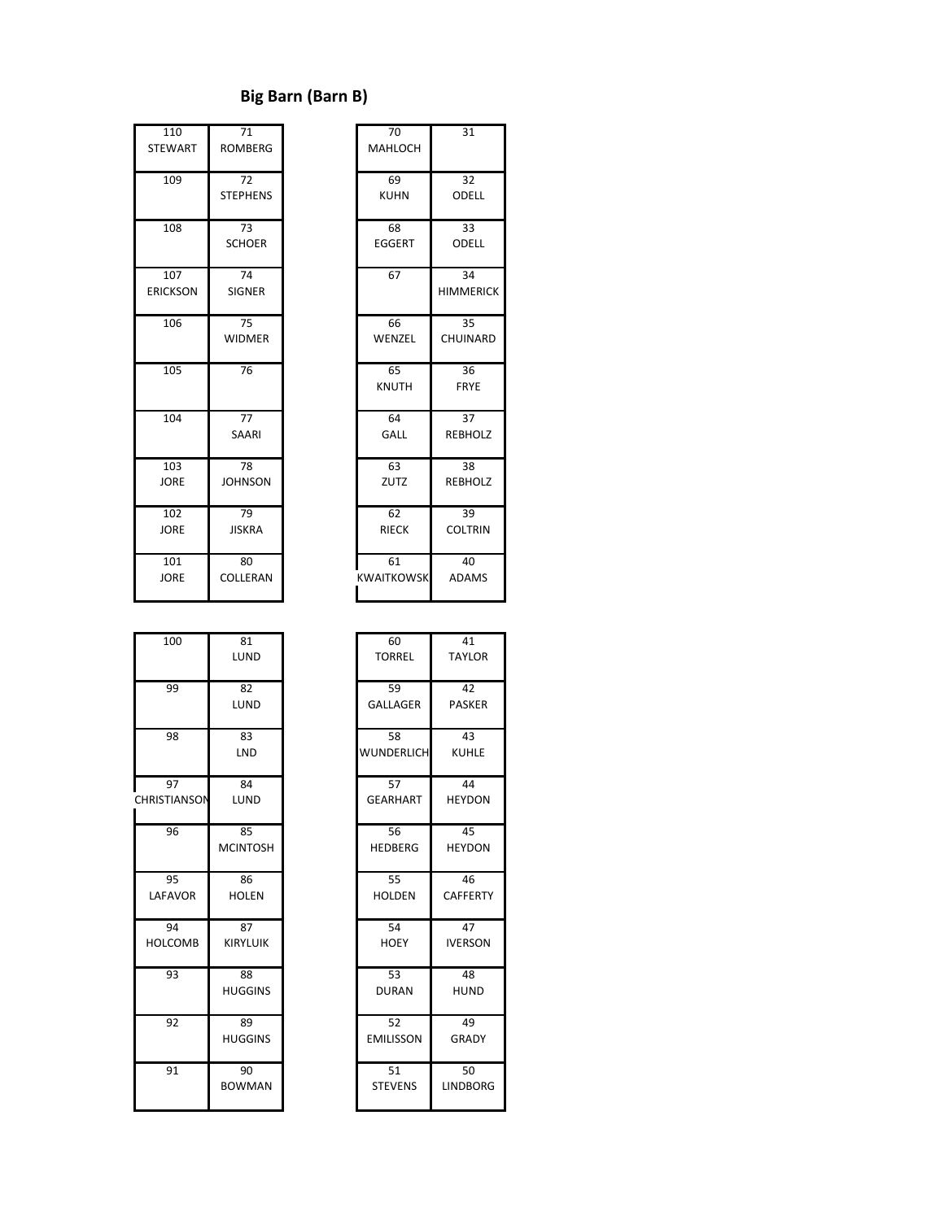#### **Big Barn (Barn B)**

| 110             | 71              | 70                | 31              |
|-----------------|-----------------|-------------------|-----------------|
| <b>STEWART</b>  | <b>ROMBERG</b>  | <b>MAHLOCH</b>    |                 |
|                 |                 |                   |                 |
| 109             | 72              | 69                | 32              |
|                 | <b>STEPHENS</b> | <b>KUHN</b>       | ODE             |
|                 |                 |                   |                 |
| 108             | 73              | 68                | 33              |
|                 | <b>SCHOER</b>   | <b>EGGERT</b>     | ODE             |
|                 |                 |                   |                 |
| 107             | 74              | 67                | 34              |
| <b>ERICKSON</b> | <b>SIGNER</b>   |                   | <b>HIMME</b>    |
|                 |                 |                   |                 |
| 106             | $\overline{75}$ | 66                | $\overline{35}$ |
|                 | <b>WIDMER</b>   | WENZEL            | <b>CHUIN</b>    |
|                 |                 |                   |                 |
| 105             | 76              | 65                | 36              |
|                 |                 | <b>KNUTH</b>      | <b>FRY</b>      |
|                 |                 |                   |                 |
| 104             | 77              | 64                | 37              |
|                 | SAARI           | GALL              | <b>REBH</b>     |
|                 |                 |                   |                 |
| 103             | 78              | 63                | 38              |
| <b>JORE</b>     | <b>JOHNSON</b>  | ZUTZ              | <b>REBH</b>     |
|                 |                 |                   |                 |
| 102             | 79              | 62                | 39              |
| <b>JORE</b>     | <b>JISKRA</b>   | <b>RIECK</b>      | COLTI           |
|                 |                 |                   |                 |
| 101             | 80              | 61                | 40              |
| <b>JORE</b>     | COLLERAN        | <b>KWAITKOWSK</b> | <b>ADAI</b>     |
|                 |                 |                   |                 |

| 110<br><b>STEWART</b>  | 71<br><b>ROMBERG</b>     | 70<br>MAHLOCH           | 31                     |
|------------------------|--------------------------|-------------------------|------------------------|
| 109                    | 72<br><b>STEPHENS</b>    | 69<br><b>KUHN</b>       | 32<br>ODELL            |
| 108                    | 73<br><b>SCHOER</b>      | 68<br><b>EGGERT</b>     | 33<br>ODELL            |
| 107<br><b>ERICKSON</b> | 74<br><b>SIGNER</b>      | 67                      | 34<br><b>HIMMERICK</b> |
| 106                    | 75<br><b>WIDMER</b>      | 66<br>WENZEL            | 35<br>CHUINARD         |
| 105                    | 76                       | 65<br><b>KNUTH</b>      | 36<br><b>FRYE</b>      |
| 104                    | $\overline{77}$<br>SAARI | 64<br>GALL              | 37<br><b>REBHOLZ</b>   |
| 103<br><b>JORE</b>     | 78<br><b>JOHNSON</b>     | 63<br>ZUTZ              | 38<br><b>REBHOLZ</b>   |
| 102<br><b>JORE</b>     | 79<br><b>JISKRA</b>      | 62<br><b>RIECK</b>      | 39<br><b>COLTRIN</b>   |
| 101<br><b>JORE</b>     | 80<br>COLLERAN           | 61<br><b>KWAITKOWSK</b> | 40<br><b>ADAMS</b>     |

| 100                 | 81              | 60                | 41              |
|---------------------|-----------------|-------------------|-----------------|
|                     | LUND            | <b>TORREL</b>     | <b>TAYLOR</b>   |
| 99                  | 82              | 59                | 42              |
|                     | LUND            | <b>GALLAGER</b>   | <b>PASKER</b>   |
| 98                  | 83              | 58                | 43              |
|                     | <b>LND</b>      | <b>WUNDERLICH</b> | <b>KUHLE</b>    |
| 97                  | 84              | 57                | 44              |
| <b>CHRISTIANSON</b> | <b>LUND</b>     | <b>GEARHART</b>   | <b>HEYDON</b>   |
| 96                  | 85              | 56                | 45              |
|                     | <b>MCINTOSH</b> | <b>HEDBERG</b>    | <b>HEYDON</b>   |
| 95                  | 86              | 55                | 46              |
| LAFAVOR             | <b>HOLEN</b>    | <b>HOLDEN</b>     | <b>CAFFERTY</b> |
| 94                  | 87              | 54                | 47              |
| <b>HOLCOMB</b>      | <b>KIRYLUIK</b> | <b>HOEY</b>       | <b>IVERSON</b>  |
| 93                  | 88              | 53                | 48              |
|                     | <b>HUGGINS</b>  | <b>DURAN</b>      | <b>HUND</b>     |
| 92                  | 89              | 52                | 49              |
|                     | <b>HUGGINS</b>  | <b>EMILISSON</b>  | <b>GRADY</b>    |
| 91                  | 90              | 51                | 50              |
|                     | <b>BOWMAN</b>   | <b>STEVENS</b>    | <b>LINDBORG</b> |
|                     |                 |                   |                 |

| 100               | 81<br>LUND      | 60<br><b>TORREL</b> | 41<br><b>TAYLOR</b> |
|-------------------|-----------------|---------------------|---------------------|
|                   |                 |                     |                     |
| 99                | 82              | 59                  | 42                  |
|                   | LUND            | <b>GALLAGER</b>     | <b>PASKER</b>       |
| 98                | 83              | 58                  | 43                  |
|                   | <b>LND</b>      | <b>WUNDERLICH</b>   | <b>KUHLE</b>        |
| 97                | 84              | 57                  | 44                  |
| <b>RISTIANSON</b> | LUND            | <b>GEARHART</b>     | <b>HEYDON</b>       |
| 96                | 85              | 56                  | 45                  |
|                   | <b>MCINTOSH</b> | <b>HEDBERG</b>      | <b>HEYDON</b>       |
| 95                | 86              | 55                  | 46                  |
| LAFAVOR           | <b>HOLEN</b>    | <b>HOLDEN</b>       | <b>CAFFERTY</b>     |
| 94                | 87              | 54                  | 47                  |
| <b>HOLCOMB</b>    | <b>KIRYLUIK</b> | <b>HOEY</b>         | <b>IVERSON</b>      |
| 93                | 88              | $\overline{53}$     | 48                  |
|                   | <b>HUGGINS</b>  | <b>DURAN</b>        | <b>HUND</b>         |
| 92                | 89              | 52                  | 49                  |
|                   | <b>HUGGINS</b>  | <b>EMILISSON</b>    | <b>GRADY</b>        |
| 91                | 90              | 51                  | 50                  |
|                   | <b>BOWMAN</b>   | <b>STEVENS</b>      | <b>LINDBORG</b>     |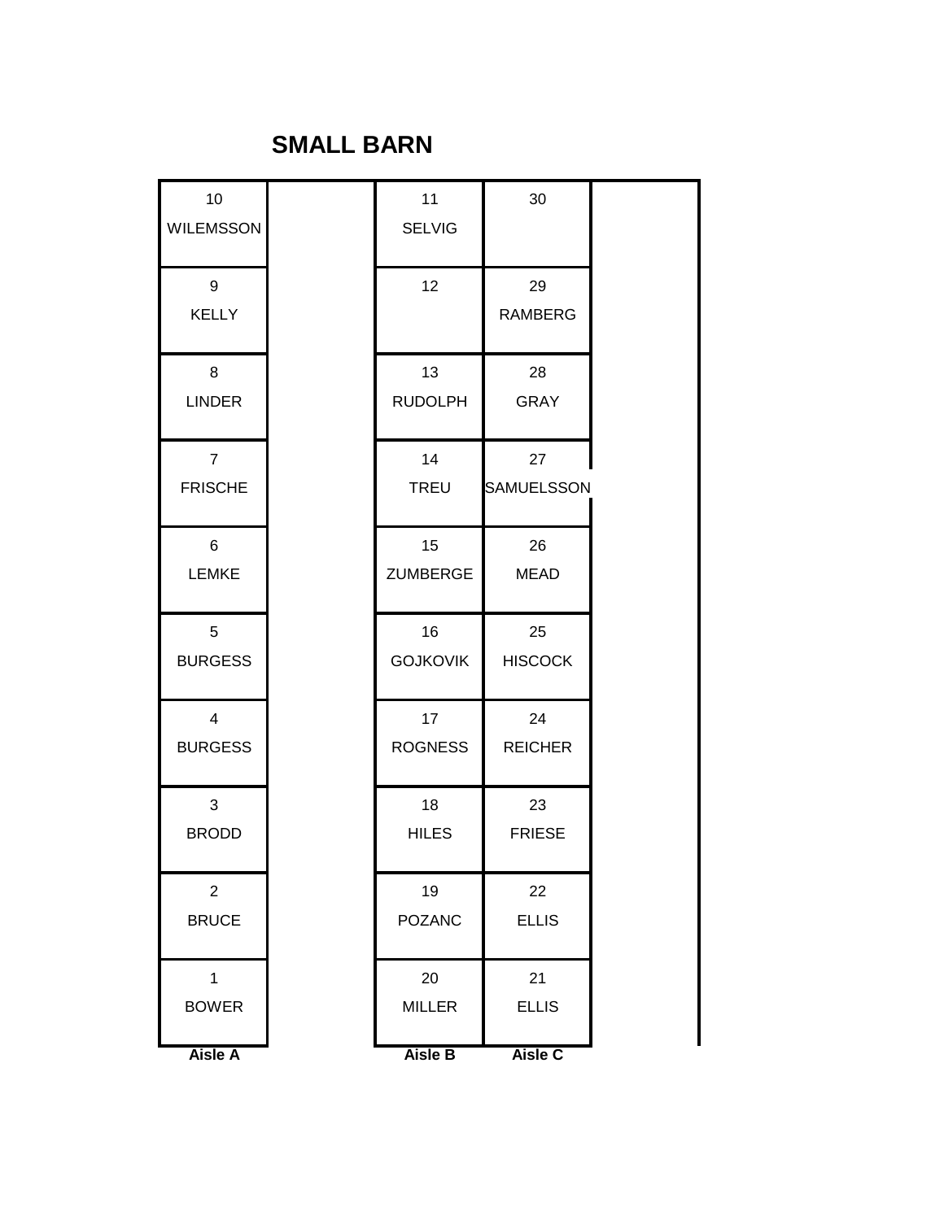#### **SMALL BARN**

| 10               | 11               | 30                |
|------------------|------------------|-------------------|
| <b>WILEMSSON</b> | <b>SELVIG</b>    |                   |
| 9                | 12               | 29                |
| <b>KELLY</b>     |                  | <b>RAMBERG</b>    |
| 8                | 13               | 28                |
| <b>LINDER</b>    | <b>RUDOLPH</b>   | <b>GRAY</b>       |
| $\overline{7}$   | 14               | 27                |
| <b>FRISCHE</b>   | <b>TREU</b>      | <b>SAMUELSSON</b> |
| 6                | 15 <sub>15</sub> | 26                |
| <b>LEMKE</b>     | <b>ZUMBERGE</b>  | <b>MEAD</b>       |
| 5                | 16               | 25                |
| <b>BURGESS</b>   | <b>GOJKOVIK</b>  | <b>HISCOCK</b>    |
| $\overline{4}$   | 17               | 24                |
| <b>BURGESS</b>   | <b>ROGNESS</b>   | <b>REICHER</b>    |
| 3                | 18               | 23                |
| <b>BRODD</b>     | <b>HILES</b>     | <b>FRIESE</b>     |
| $\mathbf{2}$     | 19               | 22                |
| <b>BRUCE</b>     | <b>POZANC</b>    | <b>ELLIS</b>      |
| $\mathbf{1}$     | 20               | 21                |
| <b>BOWER</b>     | <b>MILLER</b>    | <b>ELLIS</b>      |
| <b>Aisle A</b>   | Aisle B          | Aisle C           |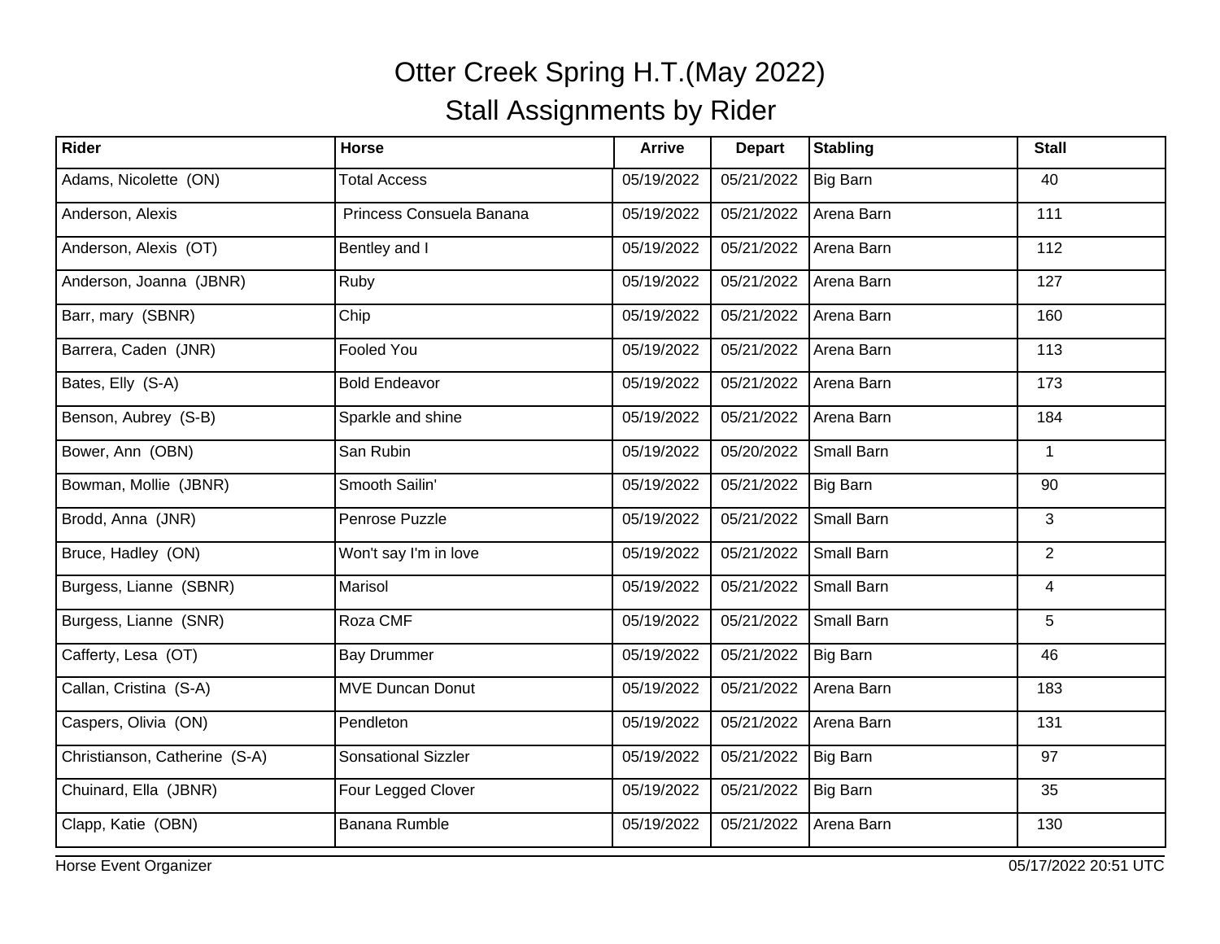| Rider                         | <b>Horse</b>               | <b>Arrive</b> | <b>Depart</b> | <b>Stabling</b> | <b>Stall</b>   |
|-------------------------------|----------------------------|---------------|---------------|-----------------|----------------|
| Adams, Nicolette (ON)         | <b>Total Access</b>        | 05/19/2022    | 05/21/2022    | Big Barn        | 40             |
| Anderson, Alexis              | Princess Consuela Banana   | 05/19/2022    | 05/21/2022    | Arena Barn      | 111            |
| Anderson, Alexis (OT)         | Bentley and I              | 05/19/2022    | 05/21/2022    | Arena Barn      | 112            |
| Anderson, Joanna (JBNR)       | Ruby                       | 05/19/2022    | 05/21/2022    | Arena Barn      | 127            |
| Barr, mary (SBNR)             | Chip                       | 05/19/2022    | 05/21/2022    | Arena Barn      | 160            |
| Barrera, Caden (JNR)          | <b>Fooled You</b>          | 05/19/2022    | 05/21/2022    | Arena Barn      | 113            |
| Bates, Elly (S-A)             | <b>Bold Endeavor</b>       | 05/19/2022    | 05/21/2022    | Arena Barn      | 173            |
| Benson, Aubrey (S-B)          | Sparkle and shine          | 05/19/2022    | 05/21/2022    | Arena Barn      | 184            |
| Bower, Ann (OBN)              | San Rubin                  | 05/19/2022    | 05/20/2022    | Small Barn      | $\mathbf 1$    |
| Bowman, Mollie (JBNR)         | Smooth Sailin'             | 05/19/2022    | 05/21/2022    | Big Barn        | 90             |
| Brodd, Anna (JNR)             | Penrose Puzzle             | 05/19/2022    | 05/21/2022    | Small Barn      | 3              |
| Bruce, Hadley (ON)            | Won't say I'm in love      | 05/19/2022    | 05/21/2022    | Small Barn      | $\overline{2}$ |
| Burgess, Lianne (SBNR)        | Marisol                    | 05/19/2022    | 05/21/2022    | Small Barn      | $\overline{4}$ |
| Burgess, Lianne (SNR)         | Roza CMF                   | 05/19/2022    | 05/21/2022    | Small Barn      | 5              |
| Cafferty, Lesa (OT)           | <b>Bay Drummer</b>         | 05/19/2022    | 05/21/2022    | Big Barn        | 46             |
| Callan, Cristina (S-A)        | <b>MVE Duncan Donut</b>    | 05/19/2022    | 05/21/2022    | Arena Barn      | 183            |
| Caspers, Olivia (ON)          | Pendleton                  | 05/19/2022    | 05/21/2022    | Arena Barn      | 131            |
| Christianson, Catherine (S-A) | <b>Sonsational Sizzler</b> | 05/19/2022    | 05/21/2022    | Big Barn        | 97             |
| Chuinard, Ella (JBNR)         | Four Legged Clover         | 05/19/2022    | 05/21/2022    | Big Barn        | 35             |
| Clapp, Katie (OBN)            | <b>Banana Rumble</b>       | 05/19/2022    | 05/21/2022    | Arena Barn      | 130            |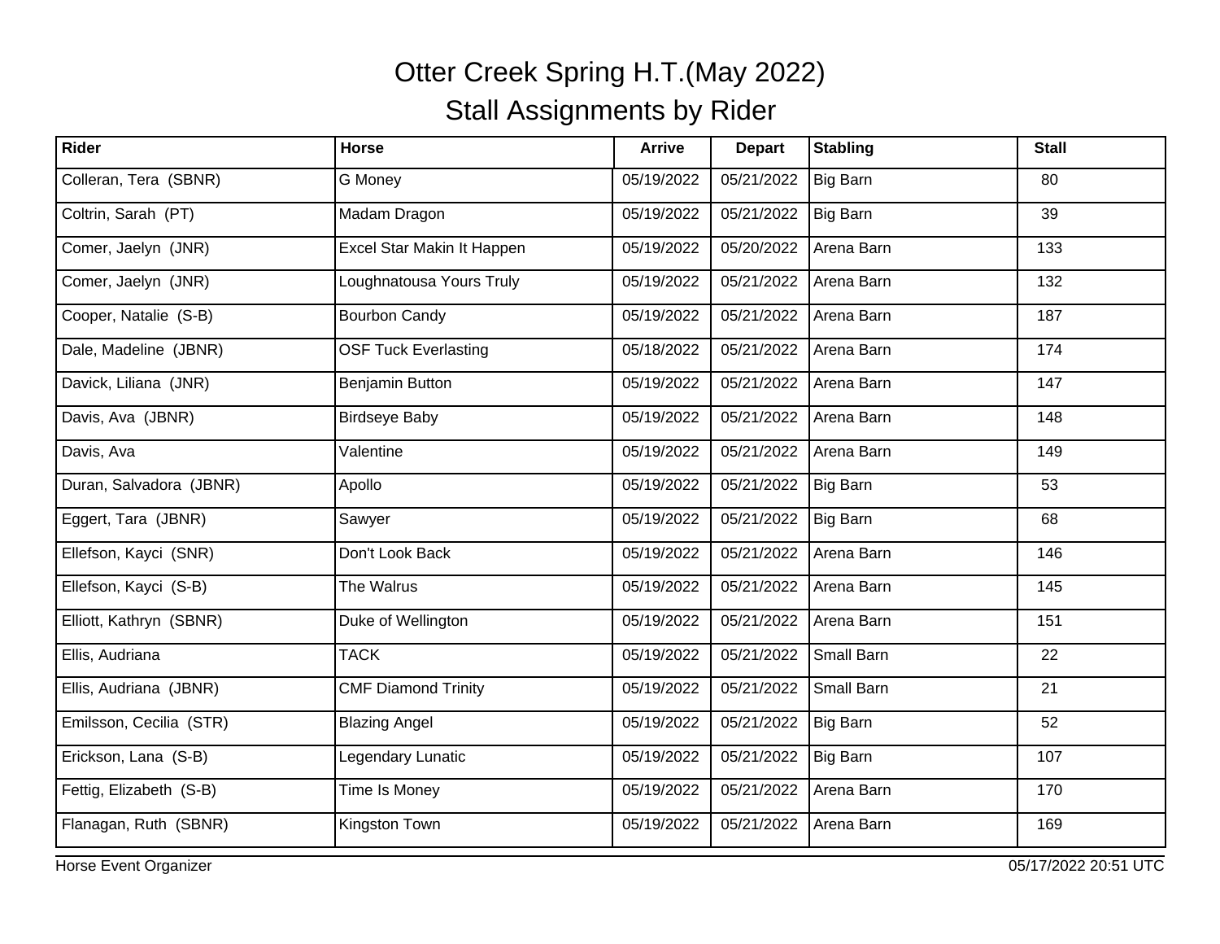| Rider                   | <b>Horse</b>                | <b>Arrive</b> | <b>Depart</b> | <b>Stabling</b> | <b>Stall</b> |
|-------------------------|-----------------------------|---------------|---------------|-----------------|--------------|
| Colleran, Tera (SBNR)   | G Money                     | 05/19/2022    | 05/21/2022    | Big Barn        | 80           |
| Coltrin, Sarah (PT)     | Madam Dragon                | 05/19/2022    | 05/21/2022    | Big Barn        | 39           |
| Comer, Jaelyn (JNR)     | Excel Star Makin It Happen  | 05/19/2022    | 05/20/2022    | Arena Barn      | 133          |
| Comer, Jaelyn (JNR)     | Loughnatousa Yours Truly    | 05/19/2022    | 05/21/2022    | Arena Barn      | 132          |
| Cooper, Natalie (S-B)   | <b>Bourbon Candy</b>        | 05/19/2022    | 05/21/2022    | Arena Barn      | 187          |
| Dale, Madeline (JBNR)   | <b>OSF Tuck Everlasting</b> | 05/18/2022    | 05/21/2022    | Arena Barn      | 174          |
| Davick, Liliana (JNR)   | Benjamin Button             | 05/19/2022    | 05/21/2022    | Arena Barn      | 147          |
| Davis, Ava (JBNR)       | <b>Birdseye Baby</b>        | 05/19/2022    | 05/21/2022    | Arena Barn      | 148          |
| Davis, Ava              | Valentine                   | 05/19/2022    | 05/21/2022    | Arena Barn      | 149          |
| Duran, Salvadora (JBNR) | Apollo                      | 05/19/2022    | 05/21/2022    | Big Barn        | 53           |
| Eggert, Tara (JBNR)     | Sawyer                      | 05/19/2022    | 05/21/2022    | Big Barn        | 68           |
| Ellefson, Kayci (SNR)   | Don't Look Back             | 05/19/2022    | 05/21/2022    | Arena Barn      | 146          |
| Ellefson, Kayci (S-B)   | The Walrus                  | 05/19/2022    | 05/21/2022    | Arena Barn      | 145          |
| Elliott, Kathryn (SBNR) | Duke of Wellington          | 05/19/2022    | 05/21/2022    | Arena Barn      | 151          |
| Ellis, Audriana         | <b>TACK</b>                 | 05/19/2022    | 05/21/2022    | Small Barn      | 22           |
| Ellis, Audriana (JBNR)  | <b>CMF Diamond Trinity</b>  | 05/19/2022    | 05/21/2022    | Small Barn      | 21           |
| Emilsson, Cecilia (STR) | <b>Blazing Angel</b>        | 05/19/2022    | 05/21/2022    | Big Barn        | 52           |
| Erickson, Lana (S-B)    | Legendary Lunatic           | 05/19/2022    | 05/21/2022    | Big Barn        | 107          |
| Fettig, Elizabeth (S-B) | Time Is Money               | 05/19/2022    | 05/21/2022    | Arena Barn      | 170          |
| Flanagan, Ruth (SBNR)   | Kingston Town               | 05/19/2022    | 05/21/2022    | Arena Barn      | 169          |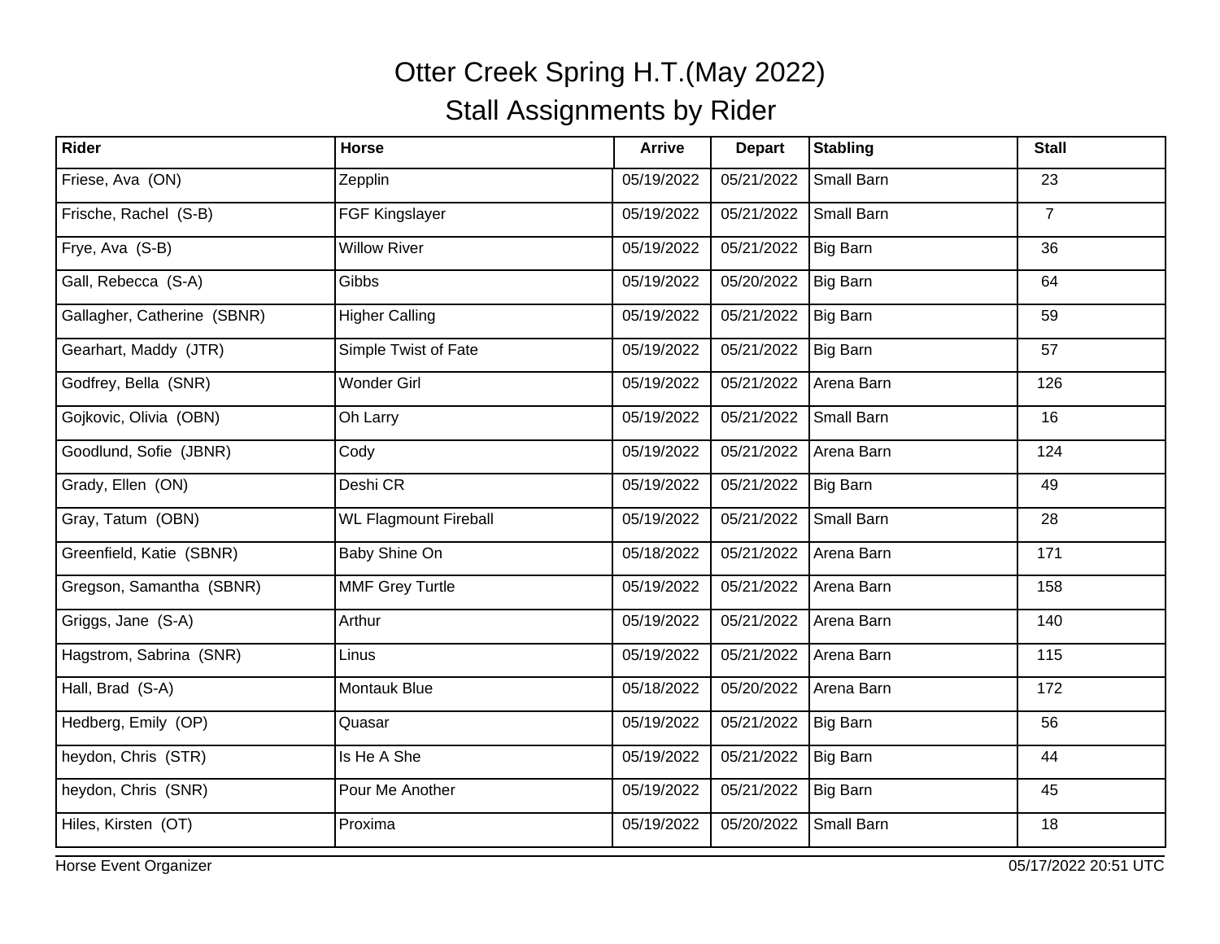| Rider                       | Horse                        | <b>Arrive</b> | <b>Depart</b> | <b>Stabling</b> | <b>Stall</b>   |
|-----------------------------|------------------------------|---------------|---------------|-----------------|----------------|
| Friese, Ava (ON)            | Zepplin                      | 05/19/2022    | 05/21/2022    | Small Barn      | 23             |
| Frische, Rachel (S-B)       | FGF Kingslayer               | 05/19/2022    | 05/21/2022    | Small Barn      | $\overline{7}$ |
| Frye, Ava (S-B)             | <b>Willow River</b>          | 05/19/2022    | 05/21/2022    | Big Barn        | 36             |
| Gall, Rebecca (S-A)         | Gibbs                        | 05/19/2022    | 05/20/2022    | Big Barn        | 64             |
| Gallagher, Catherine (SBNR) | <b>Higher Calling</b>        | 05/19/2022    | 05/21/2022    | Big Barn        | 59             |
| Gearhart, Maddy (JTR)       | Simple Twist of Fate         | 05/19/2022    | 05/21/2022    | Big Barn        | 57             |
| Godfrey, Bella (SNR)        | <b>Wonder Girl</b>           | 05/19/2022    | 05/21/2022    | Arena Barn      | 126            |
| Gojkovic, Olivia (OBN)      | Oh Larry                     | 05/19/2022    | 05/21/2022    | Small Barn      | 16             |
| Goodlund, Sofie (JBNR)      | Cody                         | 05/19/2022    | 05/21/2022    | Arena Barn      | 124            |
| Grady, Ellen (ON)           | Deshi CR                     | 05/19/2022    | 05/21/2022    | <b>Big Barn</b> | 49             |
| Gray, Tatum (OBN)           | <b>WL Flagmount Fireball</b> | 05/19/2022    | 05/21/2022    | Small Barn      | 28             |
| Greenfield, Katie (SBNR)    | Baby Shine On                | 05/18/2022    | 05/21/2022    | Arena Barn      | 171            |
| Gregson, Samantha (SBNR)    | <b>MMF Grey Turtle</b>       | 05/19/2022    | 05/21/2022    | Arena Barn      | 158            |
| Griggs, Jane (S-A)          | Arthur                       | 05/19/2022    | 05/21/2022    | Arena Barn      | 140            |
| Hagstrom, Sabrina (SNR)     | Linus                        | 05/19/2022    | 05/21/2022    | Arena Barn      | 115            |
| Hall, Brad (S-A)            | <b>Montauk Blue</b>          | 05/18/2022    | 05/20/2022    | Arena Barn      | 172            |
| Hedberg, Emily (OP)         | Quasar                       | 05/19/2022    | 05/21/2022    | Big Barn        | 56             |
| heydon, Chris (STR)         | Is He A She                  | 05/19/2022    | 05/21/2022    | Big Barn        | 44             |
| heydon, Chris (SNR)         | Pour Me Another              | 05/19/2022    | 05/21/2022    | Big Barn        | 45             |
| Hiles, Kirsten (OT)         | Proxima                      | 05/19/2022    | 05/20/2022    | Small Barn      | 18             |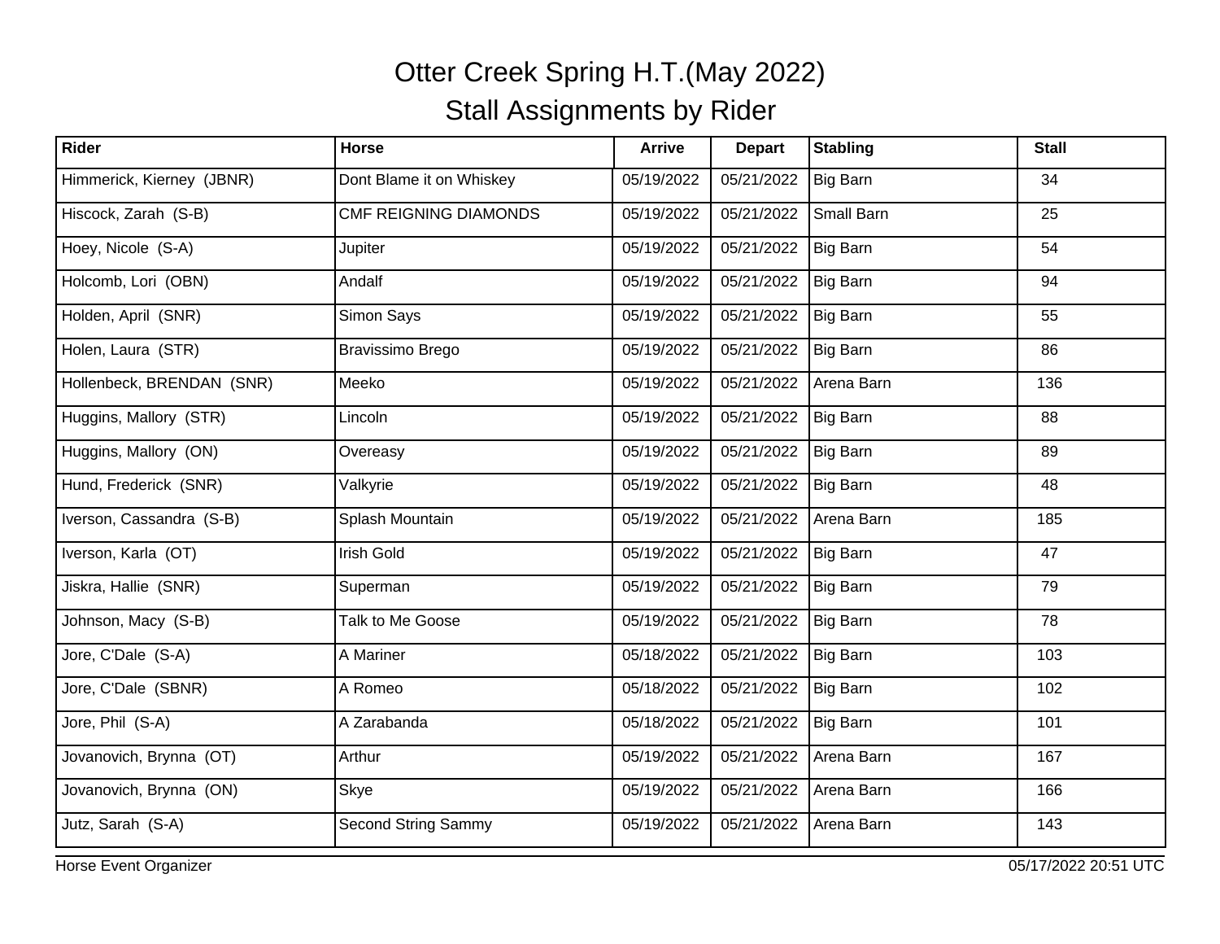| Rider                     | Horse                        | <b>Arrive</b> | <b>Depart</b> | <b>Stabling</b> | <b>Stall</b> |
|---------------------------|------------------------------|---------------|---------------|-----------------|--------------|
| Himmerick, Kierney (JBNR) | Dont Blame it on Whiskey     | 05/19/2022    | 05/21/2022    | Big Barn        | 34           |
| Hiscock, Zarah (S-B)      | <b>CMF REIGNING DIAMONDS</b> | 05/19/2022    | 05/21/2022    | Small Barn      | 25           |
| Hoey, Nicole (S-A)        | Jupiter                      | 05/19/2022    | 05/21/2022    | Big Barn        | 54           |
| Holcomb, Lori (OBN)       | Andalf                       | 05/19/2022    | 05/21/2022    | Big Barn        | 94           |
| Holden, April (SNR)       | Simon Says                   | 05/19/2022    | 05/21/2022    | Big Barn        | 55           |
| Holen, Laura (STR)        | <b>Bravissimo Brego</b>      | 05/19/2022    | 05/21/2022    | Big Barn        | 86           |
| Hollenbeck, BRENDAN (SNR) | Meeko                        | 05/19/2022    | 05/21/2022    | Arena Barn      | 136          |
| Huggins, Mallory (STR)    | Lincoln                      | 05/19/2022    | 05/21/2022    | Big Barn        | 88           |
| Huggins, Mallory (ON)     | Overeasy                     | 05/19/2022    | 05/21/2022    | Big Barn        | 89           |
| Hund, Frederick (SNR)     | Valkyrie                     | 05/19/2022    | 05/21/2022    | Big Barn        | 48           |
| Iverson, Cassandra (S-B)  | Splash Mountain              | 05/19/2022    | 05/21/2022    | Arena Barn      | 185          |
| Iverson, Karla (OT)       | <b>Irish Gold</b>            | 05/19/2022    | 05/21/2022    | Big Barn        | 47           |
| Jiskra, Hallie (SNR)      | Superman                     | 05/19/2022    | 05/21/2022    | Big Barn        | 79           |
| Johnson, Macy (S-B)       | Talk to Me Goose             | 05/19/2022    | 05/21/2022    | Big Barn        | 78           |
| Jore, C'Dale (S-A)        | A Mariner                    | 05/18/2022    | 05/21/2022    | Big Barn        | 103          |
| Jore, C'Dale (SBNR)       | A Romeo                      | 05/18/2022    | 05/21/2022    | Big Barn        | 102          |
| Jore, Phil (S-A)          | A Zarabanda                  | 05/18/2022    | 05/21/2022    | Big Barn        | 101          |
| Jovanovich, Brynna (OT)   | Arthur                       | 05/19/2022    | 05/21/2022    | Arena Barn      | 167          |
| Jovanovich, Brynna (ON)   | Skye                         | 05/19/2022    | 05/21/2022    | Arena Barn      | 166          |
| Jutz, Sarah (S-A)         | <b>Second String Sammy</b>   | 05/19/2022    | 05/21/2022    | Arena Barn      | 143          |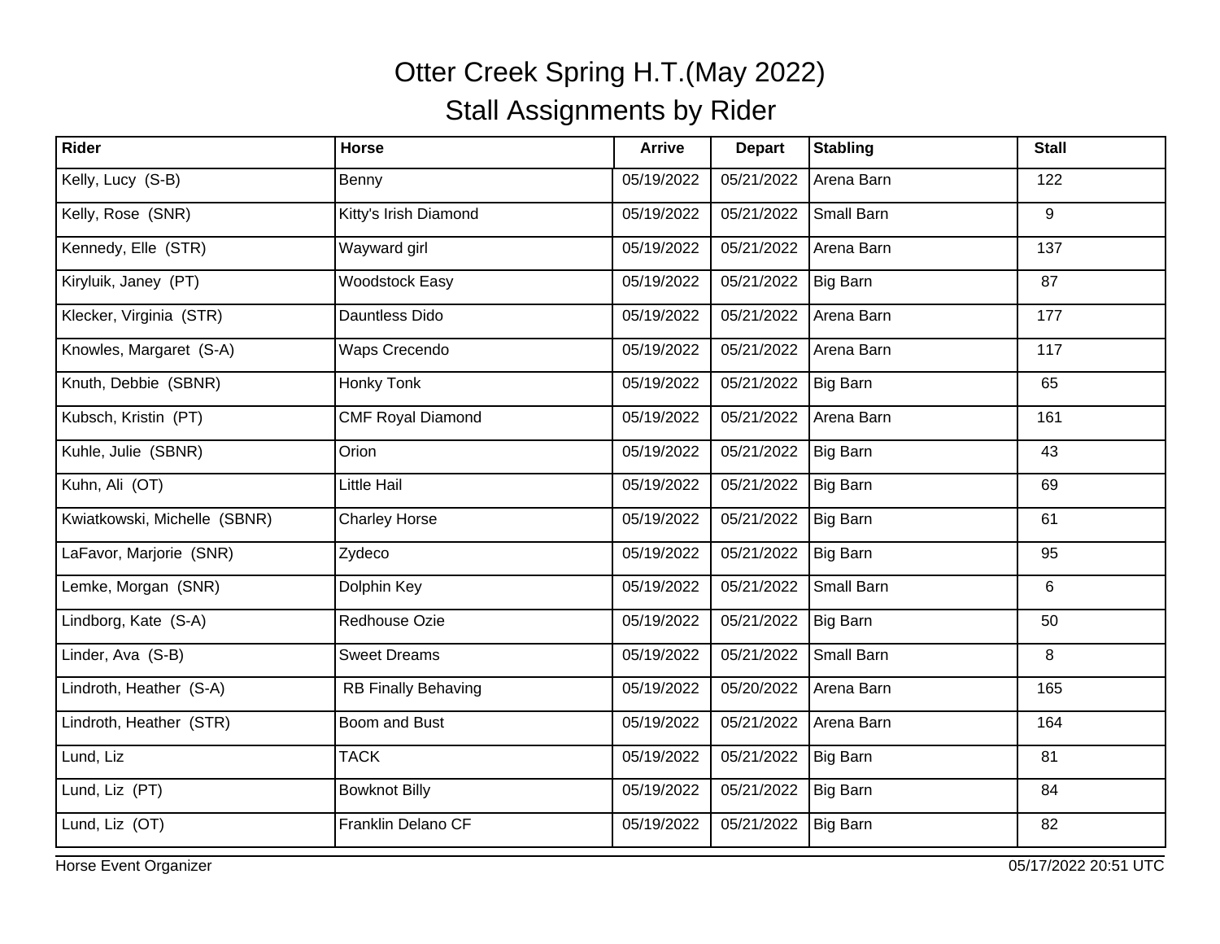| Rider                        | <b>Horse</b>               | <b>Arrive</b> | <b>Depart</b> | <b>Stabling</b> | <b>Stall</b> |
|------------------------------|----------------------------|---------------|---------------|-----------------|--------------|
| Kelly, Lucy (S-B)            | Benny                      | 05/19/2022    | 05/21/2022    | Arena Barn      | 122          |
| Kelly, Rose (SNR)            | Kitty's Irish Diamond      | 05/19/2022    | 05/21/2022    | Small Barn      | 9            |
| Kennedy, Elle (STR)          | Wayward girl               | 05/19/2022    | 05/21/2022    | Arena Barn      | 137          |
| Kiryluik, Janey (PT)         | <b>Woodstock Easy</b>      | 05/19/2022    | 05/21/2022    | Big Barn        | 87           |
| Klecker, Virginia (STR)      | Dauntless Dido             | 05/19/2022    | 05/21/2022    | Arena Barn      | 177          |
| Knowles, Margaret (S-A)      | Waps Crecendo              | 05/19/2022    | 05/21/2022    | Arena Barn      | 117          |
| Knuth, Debbie (SBNR)         | Honky Tonk                 | 05/19/2022    | 05/21/2022    | Big Barn        | 65           |
| Kubsch, Kristin (PT)         | <b>CMF Royal Diamond</b>   | 05/19/2022    | 05/21/2022    | Arena Barn      | 161          |
| Kuhle, Julie (SBNR)          | Orion                      | 05/19/2022    | 05/21/2022    | Big Barn        | 43           |
| Kuhn, Ali (OT)               | Little Hail                | 05/19/2022    | 05/21/2022    | Big Barn        | 69           |
| Kwiatkowski, Michelle (SBNR) | <b>Charley Horse</b>       | 05/19/2022    | 05/21/2022    | Big Barn        | 61           |
| LaFavor, Marjorie (SNR)      | Zydeco                     | 05/19/2022    | 05/21/2022    | Big Barn        | 95           |
| Lemke, Morgan (SNR)          | Dolphin Key                | 05/19/2022    | 05/21/2022    | Small Barn      | 6            |
| Lindborg, Kate (S-A)         | Redhouse Ozie              | 05/19/2022    | 05/21/2022    | <b>Big Barn</b> | 50           |
| Linder, Ava (S-B)            | <b>Sweet Dreams</b>        | 05/19/2022    | 05/21/2022    | Small Barn      | 8            |
| Lindroth, Heather (S-A)      | <b>RB Finally Behaving</b> | 05/19/2022    | 05/20/2022    | Arena Barn      | 165          |
| Lindroth, Heather (STR)      | Boom and Bust              | 05/19/2022    | 05/21/2022    | Arena Barn      | 164          |
| Lund, Liz                    | <b>TACK</b>                | 05/19/2022    | 05/21/2022    | Big Barn        | 81           |
| Lund, Liz (PT)               | <b>Bowknot Billy</b>       | 05/19/2022    | 05/21/2022    | Big Barn        | 84           |
| Lund, Liz (OT)               | Franklin Delano CF         | 05/19/2022    | 05/21/2022    | Big Barn        | 82           |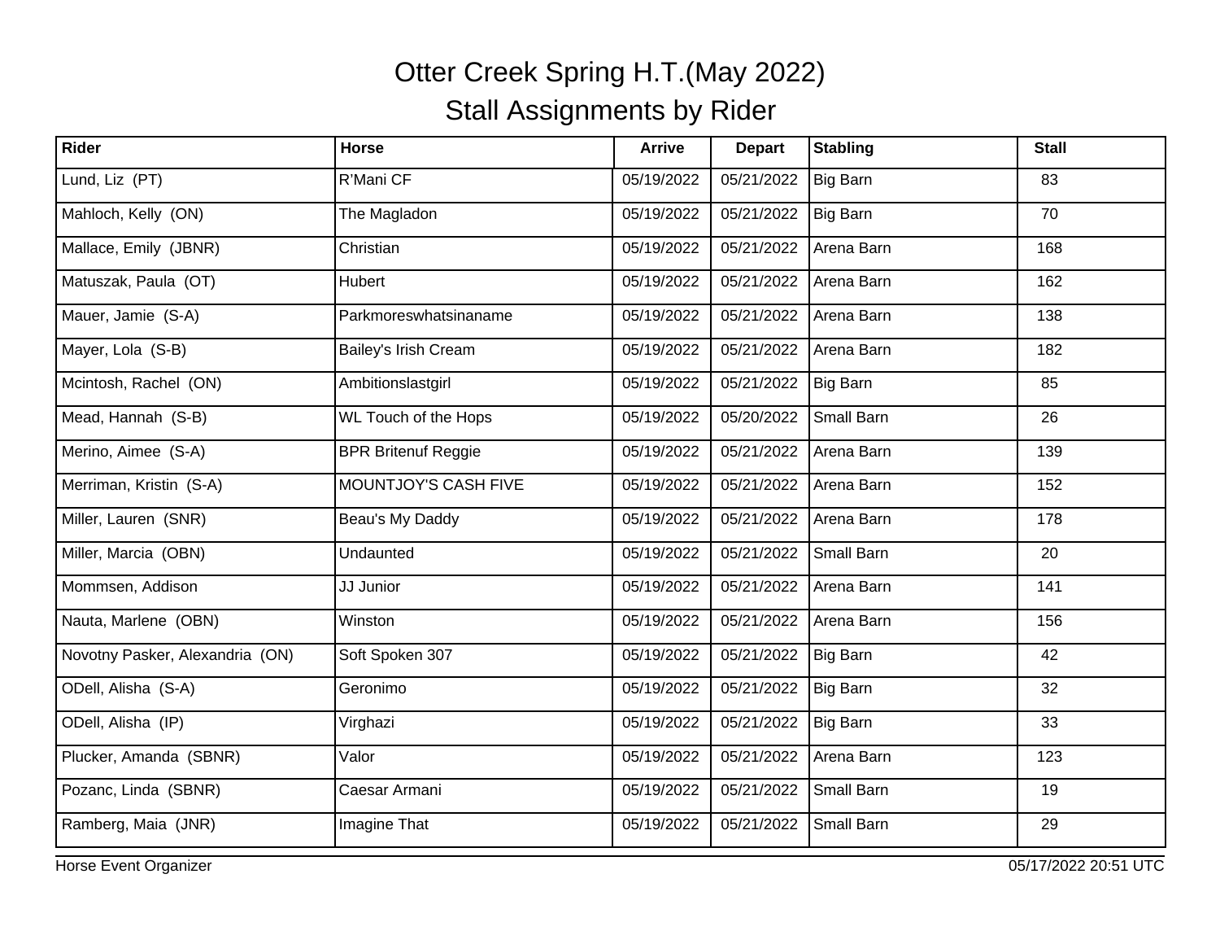| Rider                           | <b>Horse</b>               | <b>Arrive</b> | <b>Depart</b> | <b>Stabling</b> | <b>Stall</b> |
|---------------------------------|----------------------------|---------------|---------------|-----------------|--------------|
| Lund, Liz (PT)                  | R'Mani CF                  | 05/19/2022    | 05/21/2022    | Big Barn        | 83           |
| Mahloch, Kelly (ON)             | The Magladon               | 05/19/2022    | 05/21/2022    | Big Barn        | 70           |
| Mallace, Emily (JBNR)           | Christian                  | 05/19/2022    | 05/21/2022    | Arena Barn      | 168          |
| Matuszak, Paula (OT)            | Hubert                     | 05/19/2022    | 05/21/2022    | Arena Barn      | 162          |
| Mauer, Jamie (S-A)              | Parkmoreswhatsinaname      | 05/19/2022    | 05/21/2022    | Arena Barn      | 138          |
| Mayer, Lola (S-B)               | Bailey's Irish Cream       | 05/19/2022    | 05/21/2022    | Arena Barn      | 182          |
| Mcintosh, Rachel (ON)           | Ambitionslastgirl          | 05/19/2022    | 05/21/2022    | Big Barn        | 85           |
| Mead, Hannah (S-B)              | WL Touch of the Hops       | 05/19/2022    | 05/20/2022    | Small Barn      | 26           |
| Merino, Aimee (S-A)             | <b>BPR Britenuf Reggie</b> | 05/19/2022    | 05/21/2022    | Arena Barn      | 139          |
| Merriman, Kristin (S-A)         | MOUNTJOY'S CASH FIVE       | 05/19/2022    | 05/21/2022    | Arena Barn      | 152          |
| Miller, Lauren (SNR)            | Beau's My Daddy            | 05/19/2022    | 05/21/2022    | Arena Barn      | 178          |
| Miller, Marcia (OBN)            | Undaunted                  | 05/19/2022    | 05/21/2022    | Small Barn      | 20           |
| Mommsen, Addison                | JJ Junior                  | 05/19/2022    | 05/21/2022    | Arena Barn      | 141          |
| Nauta, Marlene (OBN)            | Winston                    | 05/19/2022    | 05/21/2022    | Arena Barn      | 156          |
| Novotny Pasker, Alexandria (ON) | Soft Spoken 307            | 05/19/2022    | 05/21/2022    | Big Barn        | 42           |
| ODell, Alisha (S-A)             | Geronimo                   | 05/19/2022    | 05/21/2022    | Big Barn        | 32           |
| ODell, Alisha (IP)              | Virghazi                   | 05/19/2022    | 05/21/2022    | Big Barn        | 33           |
| Plucker, Amanda (SBNR)          | Valor                      | 05/19/2022    | 05/21/2022    | Arena Barn      | 123          |
| Pozanc, Linda (SBNR)            | Caesar Armani              | 05/19/2022    | 05/21/2022    | Small Barn      | 19           |
| Ramberg, Maia (JNR)             | Imagine That               | 05/19/2022    | 05/21/2022    | Small Barn      | 29           |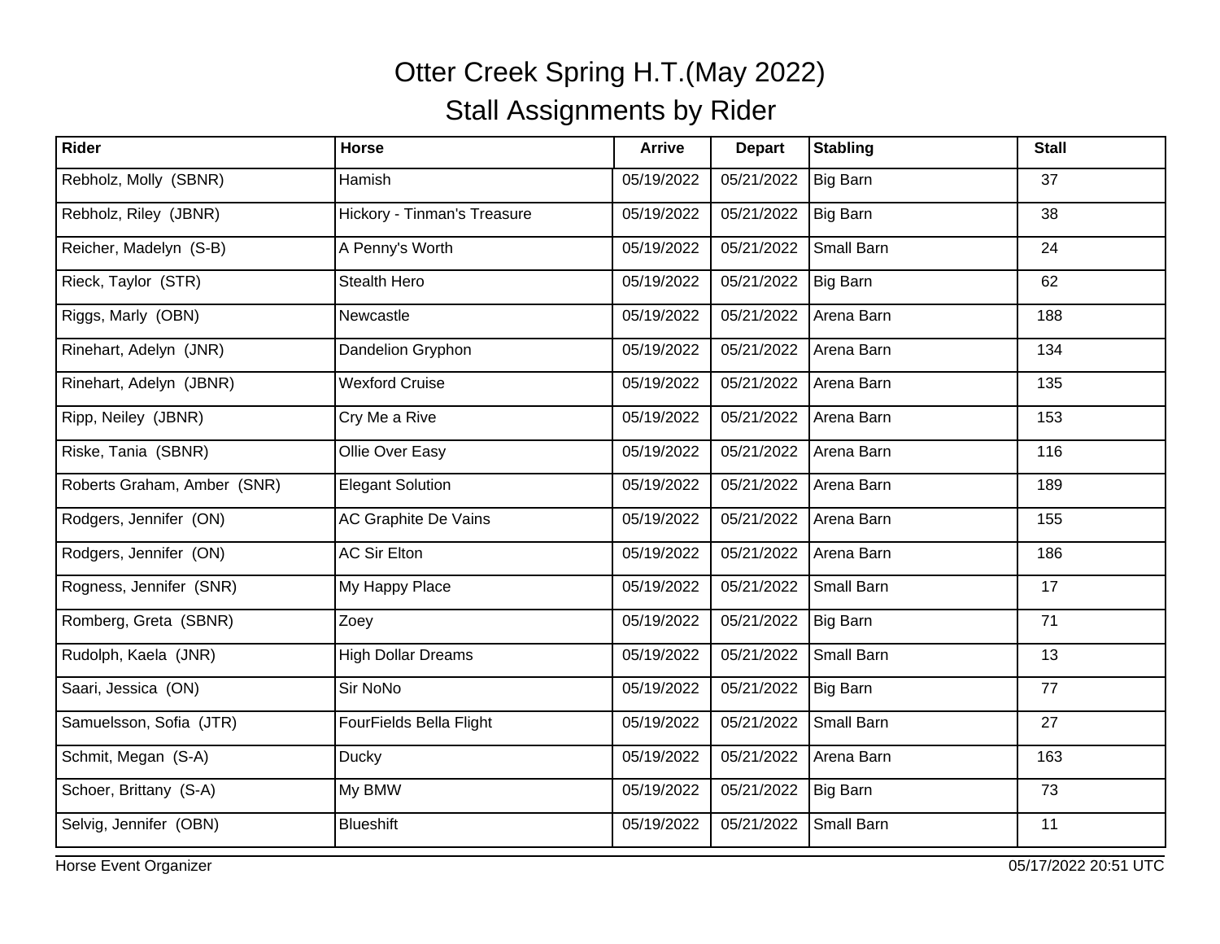| Rider                       | <b>Horse</b>                | <b>Arrive</b> | <b>Depart</b> | <b>Stabling</b> | <b>Stall</b> |
|-----------------------------|-----------------------------|---------------|---------------|-----------------|--------------|
| Rebholz, Molly (SBNR)       | Hamish                      | 05/19/2022    | 05/21/2022    | Big Barn        | 37           |
| Rebholz, Riley (JBNR)       | Hickory - Tinman's Treasure | 05/19/2022    | 05/21/2022    | Big Barn        | 38           |
| Reicher, Madelyn (S-B)      | A Penny's Worth             | 05/19/2022    | 05/21/2022    | Small Barn      | 24           |
| Rieck, Taylor (STR)         | Stealth Hero                | 05/19/2022    | 05/21/2022    | Big Barn        | 62           |
| Riggs, Marly (OBN)          | Newcastle                   | 05/19/2022    | 05/21/2022    | Arena Barn      | 188          |
| Rinehart, Adelyn (JNR)      | Dandelion Gryphon           | 05/19/2022    | 05/21/2022    | Arena Barn      | 134          |
| Rinehart, Adelyn (JBNR)     | <b>Wexford Cruise</b>       | 05/19/2022    | 05/21/2022    | Arena Barn      | 135          |
| Ripp, Neiley (JBNR)         | Cry Me a Rive               | 05/19/2022    | 05/21/2022    | Arena Barn      | 153          |
| Riske, Tania (SBNR)         | Ollie Over Easy             | 05/19/2022    | 05/21/2022    | Arena Barn      | 116          |
| Roberts Graham, Amber (SNR) | <b>Elegant Solution</b>     | 05/19/2022    | 05/21/2022    | Arena Barn      | 189          |
| Rodgers, Jennifer (ON)      | AC Graphite De Vains        | 05/19/2022    | 05/21/2022    | Arena Barn      | 155          |
| Rodgers, Jennifer (ON)      | <b>AC Sir Elton</b>         | 05/19/2022    | 05/21/2022    | Arena Barn      | 186          |
| Rogness, Jennifer (SNR)     | My Happy Place              | 05/19/2022    | 05/21/2022    | Small Barn      | 17           |
| Romberg, Greta (SBNR)       | Zoey                        | 05/19/2022    | 05/21/2022    | Big Barn        | 71           |
| Rudolph, Kaela (JNR)        | <b>High Dollar Dreams</b>   | 05/19/2022    | 05/21/2022    | Small Barn      | 13           |
| Saari, Jessica (ON)         | Sir NoNo                    | 05/19/2022    | 05/21/2022    | Big Barn        | 77           |
| Samuelsson, Sofia (JTR)     | FourFields Bella Flight     | 05/19/2022    | 05/21/2022    | Small Barn      | 27           |
| Schmit, Megan (S-A)         | Ducky                       | 05/19/2022    | 05/21/2022    | Arena Barn      | 163          |
| Schoer, Brittany (S-A)      | My BMW                      | 05/19/2022    | 05/21/2022    | Big Barn        | 73           |
| Selvig, Jennifer (OBN)      | <b>Blueshift</b>            | 05/19/2022    | 05/21/2022    | Small Barn      | 11           |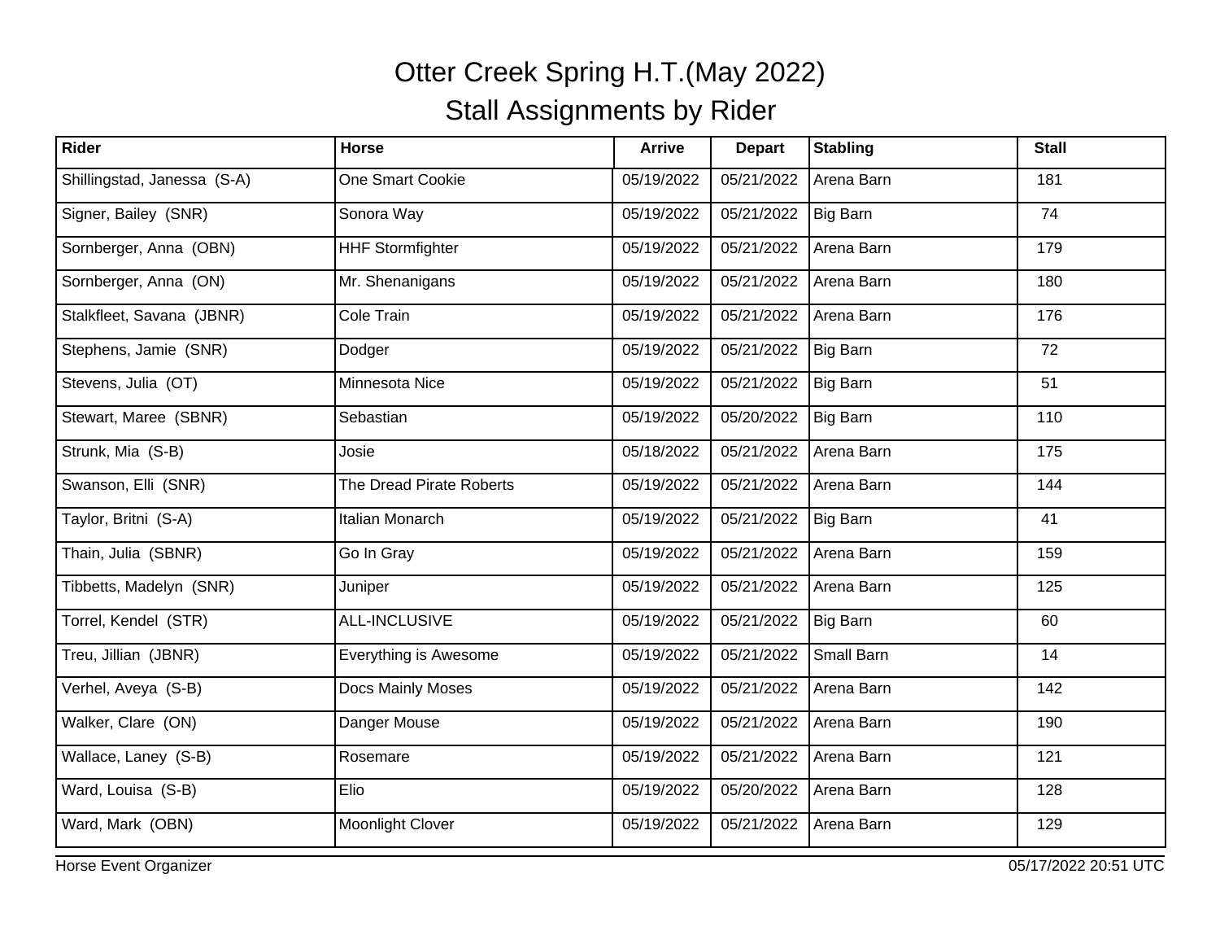| Rider                       | <b>Horse</b>             | <b>Arrive</b> | <b>Depart</b> | <b>Stabling</b> | <b>Stall</b> |
|-----------------------------|--------------------------|---------------|---------------|-----------------|--------------|
| Shillingstad, Janessa (S-A) | One Smart Cookie         | 05/19/2022    | 05/21/2022    | Arena Barn      | 181          |
| Signer, Bailey (SNR)        | Sonora Way               | 05/19/2022    | 05/21/2022    | Big Barn        | 74           |
| Sornberger, Anna (OBN)      | <b>HHF Stormfighter</b>  | 05/19/2022    | 05/21/2022    | Arena Barn      | 179          |
| Sornberger, Anna (ON)       | Mr. Shenanigans          | 05/19/2022    | 05/21/2022    | Arena Barn      | 180          |
| Stalkfleet, Savana (JBNR)   | Cole Train               | 05/19/2022    | 05/21/2022    | Arena Barn      | 176          |
| Stephens, Jamie (SNR)       | Dodger                   | 05/19/2022    | 05/21/2022    | Big Barn        | 72           |
| Stevens, Julia (OT)         | Minnesota Nice           | 05/19/2022    | 05/21/2022    | Big Barn        | 51           |
| Stewart, Maree (SBNR)       | Sebastian                | 05/19/2022    | 05/20/2022    | Big Barn        | 110          |
| Strunk, Mia (S-B)           | Josie                    | 05/18/2022    | 05/21/2022    | Arena Barn      | 175          |
| Swanson, Elli (SNR)         | The Dread Pirate Roberts | 05/19/2022    | 05/21/2022    | Arena Barn      | 144          |
| Taylor, Britni (S-A)        | Italian Monarch          | 05/19/2022    | 05/21/2022    | Big Barn        | 41           |
| Thain, Julia (SBNR)         | Go In Gray               | 05/19/2022    | 05/21/2022    | Arena Barn      | 159          |
| Tibbetts, Madelyn (SNR)     | Juniper                  | 05/19/2022    | 05/21/2022    | Arena Barn      | 125          |
| Torrel, Kendel (STR)        | <b>ALL-INCLUSIVE</b>     | 05/19/2022    | 05/21/2022    | Big Barn        | 60           |
| Treu, Jillian (JBNR)        | Everything is Awesome    | 05/19/2022    | 05/21/2022    | Small Barn      | 14           |
| Verhel, Aveya (S-B)         | Docs Mainly Moses        | 05/19/2022    | 05/21/2022    | Arena Barn      | 142          |
| Walker, Clare (ON)          | Danger Mouse             | 05/19/2022    | 05/21/2022    | Arena Barn      | 190          |
| Wallace, Laney (S-B)        | Rosemare                 | 05/19/2022    | 05/21/2022    | Arena Barn      | 121          |
| Ward, Louisa (S-B)          | Elio                     | 05/19/2022    | 05/20/2022    | Arena Barn      | 128          |
| Ward, Mark (OBN)            | Moonlight Clover         | 05/19/2022    | 05/21/2022    | Arena Barn      | 129          |